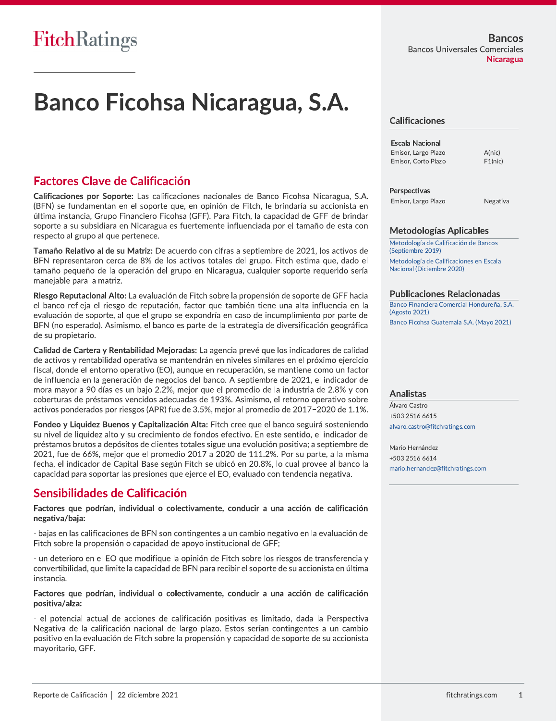# Banco Ficohsa Nicaragua, S.A.

## **Factores Clave de Calificación**

Calificaciones por Soporte: Las calificaciones nacionales de Banco Ficohsa Nicaragua, S.A. (BFN) se fundamentan en el soporte que, en opinión de Fitch, le brindaría su accionista en última instancia, Grupo Financiero Ficohsa (GFF). Para Fitch, la capacidad de GFF de brindar soporte a su subsidiara en Nicaragua es fuertemente influenciada por el tamaño de esta con respecto al grupo al que pertenece.

Tamaño Relativo al de su Matriz: De acuerdo con cifras a septiembre de 2021, los activos de BFN representaron cerca de 8% de los activos totales del grupo. Fitch estima que, dado el tamaño pequeño de la operación del grupo en Nicaragua, cualquier soporte requerido sería manejable para la matriz.

Riesgo Reputacional Alto: La evaluación de Fitch sobre la propensión de soporte de GFF hacia el banco refleja el riesgo de reputación, factor que también tiene una alta influencia en la evaluación de soporte, al que el grupo se expondría en caso de incumplimiento por parte de BFN (no esperado). Asimismo, el banco es parte de la estrategia de diversificación geográfica de su propietario.

Calidad de Cartera y Rentabilidad Mejoradas: La agencia prevé que los indicadores de calidad de activos y rentabilidad operativa se mantendrán en niveles similares en el próximo ejercicio fiscal, donde el entorno operativo (EO), aunque en recuperación, se mantiene como un factor de influencia en la generación de negocios del banco. A septiembre de 2021, el indicador de mora mayor a 90 días es un bajo 2.2%, mejor que el promedio de la industria de 2.8% y con coberturas de préstamos vencidos adecuadas de 193%. Asimismo, el retorno operativo sobre activos ponderados por riesgos (APR) fue de 3.5%, mejor al promedio de 2017-2020 de 1.1%.

Fondeo y Liquidez Buenos y Capitalización Alta: Fitch cree que el banco seguirá sosteniendo su nivel de liquidez alto y su crecimiento de fondos efectivo. En este sentido, el indicador de préstamos brutos a depósitos de clientes totales sigue una evolución positiva; a septiembre de 2021, fue de 66%, mejor que el promedio 2017 a 2020 de 111.2%. Por su parte, a la misma fecha, el indicador de Capital Base según Fitch se ubicó en 20.8%, lo cual provee al banco la capacidad para soportar las presiones que ejerce el EO, evaluado con tendencia negativa.

### Sensibilidades de Calificación

Factores que podrían, individual o colectivamente, conducir a una acción de calificación negativa/baja:

- bajas en las calificaciones de BFN son contingentes a un cambio negativo en la evaluación de Fitch sobre la propensión o capacidad de apoyo institucional de GFF;

- un deterioro en el EO que modifique la opinión de Fitch sobre los riesgos de transferencia y convertibilidad, que limite la capacidad de BFN para recibir el soporte de su accionista en última instancia.

#### Factores que podrían, individual o colectivamente, conducir a una acción de calificación positiva/alza:

- el potencial actual de acciones de calificación positivas es limitado, dada la Perspectiva Negativa de la calificación nacional de largo plazo. Estos serían contingentes a un cambio positivo en la evaluación de Fitch sobre la propensión y capacidad de soporte de su accionista mayoritario, GFF.

#### **Calificaciones**

**Escala Nacional** Emisor, Largo Plazo Emisor, Corto Plazo

A(nic)  $F1(nic)$ 

Perspectivas Emisor, Largo Plazo

Negativa

#### **Metodologías Aplicables**

Metodología de Calificación de Bancos (Septiembre 2019) Metodología de Calificaciones en Escala Nacional (Diciembre 2020)

#### **Publicaciones Relacionadas**

Banco Financiera Comercial Hondureña, S.A. (Agosto 2021) Banco Ficohsa Guatemala S.A. (Mayo 2021)

#### **Analistas**

Álvaro Castro +503 2516 6615 alvaro.castro@fitchratings.com

Mario Hernández +503 2516 6614 mario.hernandez@fitchratings.com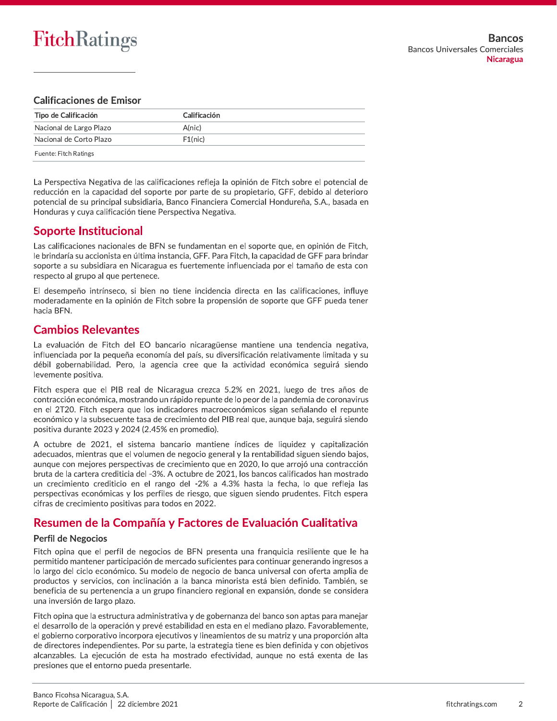#### **Calificaciones de Emisor**

| Tipo de Calificación    | Calificación |
|-------------------------|--------------|
| Nacional de Largo Plazo | A(nic)       |
| Nacional de Corto Plazo | F1(nic)      |
| Fuente: Fitch Ratings   |              |

La Perspectiva Negativa de las calificaciones refleja la opinión de Fitch sobre el potencial de reducción en la capacidad del soporte por parte de su propietario, GFF, debido al deterioro potencial de su principal subsidiaria, Banco Financiera Comercial Hondureña, S.A., basada en Honduras y cuya calificación tiene Perspectiva Negativa.

## **Soporte Institucional**

Las calificaciones nacionales de BFN se fundamentan en el soporte que, en opinión de Fitch, le brindaría su accionista en última instancia, GFF. Para Fitch, la capacidad de GFF para brindar soporte a su subsidiara en Nicaragua es fuertemente influenciada por el tamaño de esta con respecto al grupo al que pertenece.

El desempeño intrínseco, si bien no tiene incidencia directa en las calificaciones, influye moderadamente en la opinión de Fitch sobre la propensión de soporte que GFF pueda tener hacia BFN.

## **Cambios Relevantes**

La evaluación de Fitch del EO bancario nicaragüense mantiene una tendencia negativa, influenciada por la pequeña economía del país, su diversificación relativamente limitada y su débil gobernabilidad. Pero, la agencia cree que la actividad económica seguirá siendo levemente positiva.

Fitch espera que el PIB real de Nicaragua crezca 5.2% en 2021, luego de tres años de contracción económica, mostrando un rápido repunte de lo peor de la pandemia de coronavirus en el 2T20. Fitch espera que los indicadores macroeconómicos sigan señalando el repunte económico y la subsecuente tasa de crecimiento del PIB real que, aunque baja, seguirá siendo positiva durante 2023 y 2024 (2.45% en promedio).

A octubre de 2021, el sistema bancario mantiene índices de liquidez y capitalización adecuados, mientras que el volumen de negocio general y la rentabilidad siguen siendo bajos, aunque con mejores perspectivas de crecimiento que en 2020, lo que arroió una contracción bruta de la cartera crediticia del -3%. A octubre de 2021, los bancos calificados han mostrado un crecimiento crediticio en el rango del -2% a 4.3% hasta la fecha, lo que refleja las perspectivas económicas y los perfiles de riesgo, que siguen siendo prudentes. Fitch espera cifras de crecimiento positivas para todos en 2022.

## Resumen de la Compañía y Factores de Evaluación Cualitativa

#### **Perfil de Negocios**

Fitch opina que el perfil de negocios de BFN presenta una franquicia resiliente que le ha permitido mantener participación de mercado suficientes para continuar generando ingresos a lo largo del ciclo económico. Su modelo de negocio de banca universal con oferta amplia de productos y servicios, con inclinación a la banca minorista está bien definido. También, se beneficia de su pertenencia a un grupo financiero regional en expansión, donde se considera una inversión de largo plazo.

Fitch opina que la estructura administrativa y de gobernanza del banco son aptas para manejar el desarrollo de la operación y prevé estabilidad en esta en el mediano plazo. Favorablemente, el gobierno corporativo incorpora ejecutivos y lineamientos de su matriz y una proporción alta de directores independientes. Por su parte, la estrategia tiene es bien definida y con objetivos alcanzables. La ejecución de esta ha mostrado efectividad, aunque no está exenta de las presiones que el entorno pueda presentarle.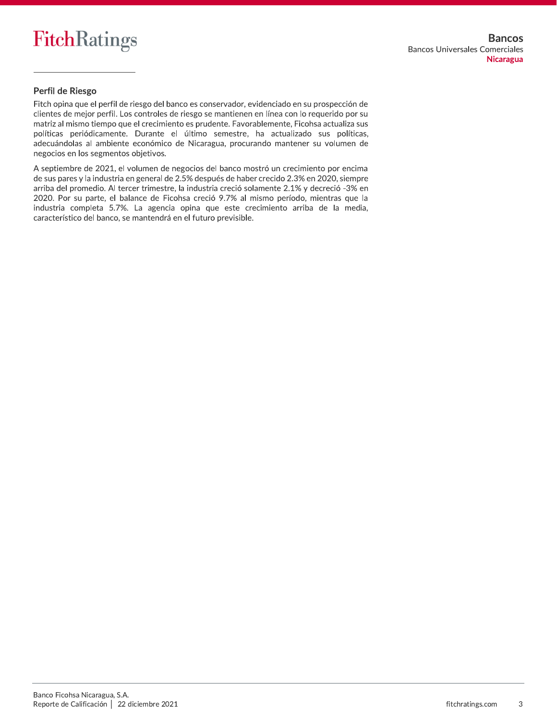

#### Perfil de Riesgo

Fitch opina que el perfil de riesgo del banco es conservador, evidenciado en su prospección de clientes de mejor perfil. Los controles de riesgo se mantienen en línea con lo requerido por su matriz al mismo tiempo que el crecimiento es prudente. Favorablemente, Ficohsa actualiza sus políticas periódicamente. Durante el último semestre, ha actualizado sus políticas, adecuándolas al ambiente económico de Nicaragua, procurando mantener su volumen de negocios en los segmentos objetivos.

A septiembre de 2021, el volumen de negocios del banco mostró un crecimiento por encima de sus pares y la industria en general de 2.5% después de haber crecido 2.3% en 2020, siempre arriba del promedio. Al tercer trimestre, la industria creció solamente 2.1% y decreció -3% en 2020. Por su parte, el balance de Ficohsa creció 9.7% al mismo período, mientras que la industria completa 5.7%. La agencia opina que este crecimiento arriba de la media, característico del banco, se mantendrá en el futuro previsible.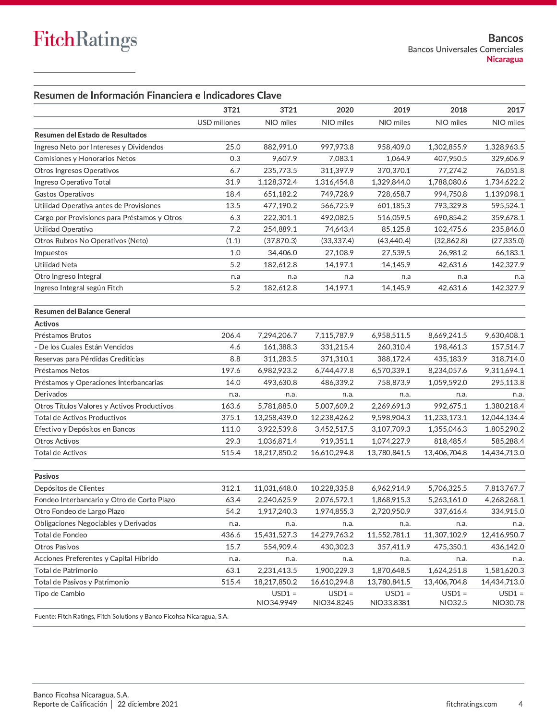#### Resumen de Información Financiera e Indicadores Clave

|                                              | 3T21         | 3T21                   | 2020                   | 2019                   | 2018                | 2017                 |
|----------------------------------------------|--------------|------------------------|------------------------|------------------------|---------------------|----------------------|
|                                              | USD millones | NIO miles              | NIO miles              | NIO miles              | NIO miles           | NIO miles            |
| Resumen del Estado de Resultados             |              |                        |                        |                        |                     |                      |
| Ingreso Neto por Intereses y Dividendos      | 25.0         | 882,991.0              | 997,973.8              | 958,409.0              | 1,302,855.9         | 1,328,963.5          |
| Comisiones y Honorarios Netos                | 0.3          | 9,607.9                | 7,083.1                | 1,064.9                | 407,950.5           | 329,606.9            |
| Otros Ingresos Operativos                    | 6.7          | 235,773.5              | 311,397.9              | 370,370.1              | 77,274.2            | 76,051.8             |
| Ingreso Operativo Total                      | 31.9         | 1,128,372.4            | 1,316,454.8            | 1,329,844.0            | 1,788,080.6         | 1,734,622.2          |
| Gastos Operativos                            | 18.4         | 651,182.2              | 749,728.9              | 728,658.7              | 994,750.8           | 1,139,098.1          |
| Utilidad Operativa antes de Provisiones      | 13.5         | 477,190.2              | 566,725.9              | 601,185.3              | 793,329.8           | 595,524.1            |
| Cargo por Provisiones para Préstamos y Otros | 6.3          | 222,301.1              | 492.082.5              | 516,059.5              | 690,854.2           | 359,678.1            |
| Utilidad Operativa                           | 7.2          | 254,889.1              | 74,643.4               | 85,125.8               | 102,475.6           | 235,846.0            |
| Otros Rubros No Operativos (Neto)            | (1.1)        | (37, 870.3)            | (33, 337.4)            | (43, 440.4)            | (32,862.8)          | (27, 335.0)          |
| Impuestos                                    | 1.0          | 34,406.0               | 27,108.9               | 27,539.5               | 26,981.2            | 66,183.1             |
| <b>Utilidad Neta</b>                         | 5.2          | 182,612.8              | 14,197.1               | 14,145.9               | 42,631.6            | 142,327.9            |
| Otro Ingreso Integral                        | n.a          | n.a                    | n.a                    | n.a                    | n.a                 | n.a                  |
| Ingreso Integral según Fitch                 | 5.2          | 182,612.8              | 14,197.1               | 14,145.9               | 42,631.6            | 142,327.9            |
|                                              |              |                        |                        |                        |                     |                      |
| Resumen del Balance General                  |              |                        |                        |                        |                     |                      |
| <b>Activos</b>                               |              |                        |                        |                        |                     |                      |
| Préstamos Brutos                             | 206.4        | 7,294,206.7            | 7,115,787.9            | 6,958,511.5            | 8,669,241.5         | 9,630,408.1          |
| - De los Cuales Están Vencidos               | 4.6          | 161,388.3              | 331,215.4              | 260,310.4              | 198,461.3           | 157,514.7            |
| Reservas para Pérdidas Crediticias           | 8.8          | 311,283.5              | 371,310.1              | 388,172.4              | 435,183.9           | 318,714.0            |
| Préstamos Netos                              | 197.6        | 6,982,923.2            | 6,744,477.8            | 6,570,339.1            | 8,234,057.6         | 9,311,694.1          |
| Préstamos y Operaciones Interbancarias       | 14.0         | 493,630.8              | 486,339.2              | 758,873.9              | 1,059,592.0         | 295,113.8            |
| Derivados                                    | n.a.         | n.a.                   | n.a.                   | n.a.                   | n.a.                | n.a.                 |
| Otros Títulos Valores y Activos Productivos  | 163.6        | 5,781,885.0            | 5,007,609.2            | 2,269,691.3            | 992,675.1           | 1,380,218.4          |
| Total de Activos Productivos                 | 375.1        | 13,258,439.0           | 12,238,426.2           | 9,598,904.3            | 11,233,173.1        | 12,044,134.4         |
| Efectivo y Depósitos en Bancos               | 111.0        | 3,922,539.8            | 3,452,517.5            | 3,107,709.3            | 1,355,046.3         | 1,805,290.2          |
| <b>Otros Activos</b>                         | 29.3         | 1,036,871.4            | 919,351.1              | 1,074,227.9            | 818,485.4           | 585,288.4            |
| Total de Activos                             | 515.4        | 18,217,850.2           | 16,610,294.8           | 13,780,841.5           | 13,406,704.8        | 14,434,713.0         |
|                                              |              |                        |                        |                        |                     |                      |
| Pasivos                                      |              |                        |                        |                        |                     |                      |
| Depósitos de Clientes                        | 312.1        | 11,031,648.0           | 10,228,335.8           | 6,962,914.9            | 5,706,325.5         | 7,813,767.7          |
| Fondeo Interbancario y Otro de Corto Plazo   | 63.4         | 2,240,625.9            | 2,076,572.1            | 1,868,915.3            | 5,263,161.0         | 4,268,268.1          |
| Otro Fondeo de Largo Plazo                   | 54.2         | 1,917,240.3            | 1,974,855.3            | 2,720,950.9            | 337,616.4           | 334,915.0            |
| Obligaciones Negociables y Derivados         | n.a.         | n.a.                   | n.a.                   | n.a.                   | n.a.                | n.a.                 |
| Total de Fondeo                              | 436.6        | 15,431,527.3           | 14,279,763.2           | 11,552,781.1           | 11,307,102.9        | 12,416,950.7         |
| Otros Pasivos                                | 15.7         | 554,909.4              | 430,302.3              | 357,411.9              | 475,350.1           | 436,142.0            |
| Acciones Preferentes y Capital Híbrido       | n.a.         | n.a.                   | n.a.                   | n.a.                   | n.a.                | n.a.                 |
| Total de Patrimonio                          | 63.1         | 2,231,413.5            | 1,900,229.3            | 1,870,648.5            | 1,624,251.8         | 1,581,620.3          |
| Total de Pasivos y Patrimonio                | 515.4        | 18,217,850.2           | 16,610,294.8           | 13,780,841.5           | 13,406,704.8        | 14,434,713.0         |
| Tipo de Cambio                               |              | $USD1 =$<br>NIO34.9949 | $USD1 =$<br>NIO34.8245 | $USD1 =$<br>NIO33.8381 | $USD1 =$<br>NIO32.5 | $USD1 =$<br>NIO30.78 |
|                                              |              |                        |                        |                        |                     |                      |

Fuente: Fitch Ratings, Fitch Solutions y Banco Ficohsa Nicaragua, S.A.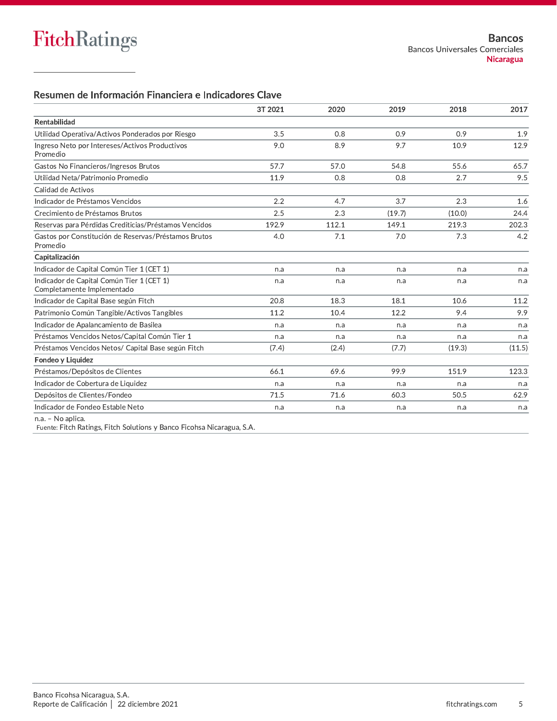#### Resumen de Información Financiera e Indicadores Clave

|                                                                         | 3T 2021 | 2020  | 2019   | 2018   | 2017   |
|-------------------------------------------------------------------------|---------|-------|--------|--------|--------|
| Rentabilidad                                                            |         |       |        |        |        |
| Utilidad Operativa/Activos Ponderados por Riesgo                        | 3.5     | 0.8   | 0.9    | 0.9    | 1.9    |
| Ingreso Neto por Intereses/Activos Productivos<br>Promedio              | 9.0     | 8.9   | 9.7    | 10.9   | 12.9   |
| Gastos No Financieros/Ingresos Brutos                                   | 57.7    | 57.0  | 54.8   | 55.6   | 65.7   |
| Utilidad Neta/Patrimonio Promedio                                       | 11.9    | 0.8   | 0.8    | 2.7    | 9.5    |
| Calidad de Activos                                                      |         |       |        |        |        |
| Indicador de Préstamos Vencidos                                         | 2.2     | 4.7   | 3.7    | 2.3    | 1.6    |
| Crecimiento de Préstamos Brutos                                         | 2.5     | 2.3   | (19.7) | (10.0) | 24.4   |
| Reservas para Pérdidas Crediticias/Préstamos Vencidos                   | 192.9   | 112.1 | 149.1  | 219.3  | 202.3  |
| Gastos por Constitución de Reservas/Préstamos Brutos<br>Promedio        | 4.0     | 7.1   | 7.0    | 7.3    | 4.2    |
| Capitalización                                                          |         |       |        |        |        |
| Indicador de Capital Común Tier 1 (CET 1)                               | n.a     | n.a   | n.a    | n.a    | n.a    |
| Indicador de Capital Común Tier 1 (CET 1)<br>Completamente Implementado | n.a     | n.a   | n.a    | n.a    | n.a    |
| Indicador de Capital Base según Fitch                                   | 20.8    | 18.3  | 18.1   | 10.6   | 11.2   |
| Patrimonio Común Tangible/Activos Tangibles                             | 11.2    | 10.4  | 12.2   | 9.4    | 9.9    |
| Indicador de Apalancamiento de Basilea                                  | n.a     | n.a   | n.a    | n.a    | n.a    |
| Préstamos Vencidos Netos/Capital Común Tier 1                           | n.a     | n.a   | n.a    | n.a    | n.a    |
| Préstamos Vencidos Netos/ Capital Base según Fitch                      | (7.4)   | (2.4) | (7.7)  | (19.3) | (11.5) |
| Fondeo y Liquidez                                                       |         |       |        |        |        |
| Préstamos/Depósitos de Clientes                                         | 66.1    | 69.6  | 99.9   | 151.9  | 123.3  |
| Indicador de Cobertura de Liquidez                                      | n.a     | n.a   | n.a    | n.a    | n.a    |
| Depósitos de Clientes/Fondeo                                            | 71.5    | 71.6  | 60.3   | 50.5   | 62.9   |
| Indicador de Fondeo Estable Neto                                        | n.a     | n.a   | n.a    | n.a    | n.a    |
| n.a. - No aplica.                                                       |         |       |        |        |        |

Fuente: Fitch Ratings, Fitch Solutions y Banco Ficohsa Nicaragua, S.A.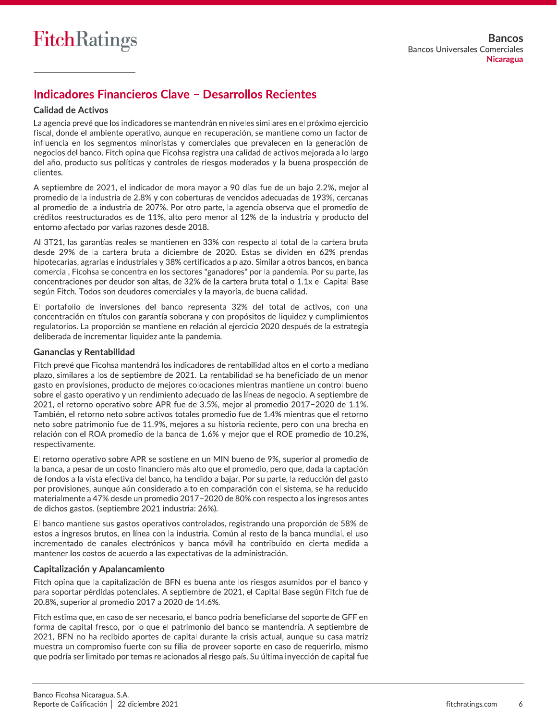## **Indicadores Financieros Clave - Desarrollos Recientes**

#### **Calidad de Activos**

La agencia prevé que los indicadores se mantendrán en niveles similares en el próximo ejercicio fiscal, donde el ambiente operativo, aunque en recuperación, se mantiene como un factor de influencia en los segmentos minoristas y comerciales que prevalecen en la generación de negocios del banco. Fitch opina que Ficohsa registra una calidad de activos mejorada a lo largo del año, producto sus políticas y controles de riesgos moderados y la buena prospección de clientes.

A septiembre de 2021, el indicador de mora mayor a 90 días fue de un baio 2.2%, mejor al promedio de la industria de 2.8% y con coberturas de vencidos adecuadas de 193%, cercanas al promedio de la industria de 207%. Por otro parte, la agencia observa que el promedio de créditos reestructurados es de 11%, alto pero menor al 12% de la industria y producto del entorno afectado por varias razones desde 2018.

Al 3T21, las garantías reales se mantienen en 33% con respecto al total de la cartera bruta desde 29% de la cartera bruta a diciembre de 2020. Estas se dividen en 62% prendas hipotecarias, agrarias e industriales y 38% certificados a plazo. Similar a otros bancos, en banca comercial, Ficohsa se concentra en los sectores "ganadores" por la pandemia. Por su parte, las concentraciones por deudor son altas, de 32% de la cartera bruta total o 1.1x el Capital Base según Fitch. Todos son deudores comerciales y la mayoría, de buena calidad.

El portafolio de inversiones del banco representa 32% del total de activos, con una concentración en títulos con garantía soberana y con propósitos de liquidez y cumplimientos regulatorios. La proporción se mantiene en relación al ejercicio 2020 después de la estrategia deliberada de incrementar liquidez ante la pandemia.

#### **Ganancias y Rentabilidad**

Fitch prevé que Ficohsa mantendrá los indicadores de rentabilidad altos en el corto a mediano plazo, similares a los de septiembre de 2021. La rentabilidad se ha beneficiado de un menor gasto en provisiones, producto de mejores colocaciones mientras mantiene un control bueno sobre el gasto operativo y un rendimiento adecuado de las líneas de negocio. A septiembre de 2021, el retorno operativo sobre APR fue de 3.5%, mejor al promedio 2017-2020 de 1.1%. También, el retorno neto sobre activos totales promedio fue de 1.4% mientras que el retorno neto sobre patrimonio fue de 11.9%, mejores a su historia reciente, pero con una brecha en relación con el ROA promedio de la banca de 1.6% y mejor que el ROE promedio de 10.2%, respectivamente.

El retorno operativo sobre APR se sostiene en un MIN bueno de 9%, superior al promedio de la banca, a pesar de un costo financiero más alto que el promedio, pero que, dada la captación de fondos a la vista efectiva del banco, ha tendido a bajar. Por su parte, la reducción del gasto por provisiones, aunque aún considerado alto en comparación con el sistema, se ha reducido materialmente a 47% desde un promedio 2017-2020 de 80% con respecto a los ingresos antes de dichos gastos. (septiembre 2021 industria: 26%).

El banco mantiene sus gastos operativos controlados, registrando una proporción de 58% de estos a ingresos brutos, en línea con la industria. Común al resto de la banca mundial, el uso incrementado de canales electrónicos y banca móvil ha contribuido en cierta medida a mantener los costos de acuerdo a las expectativas de la administración.

#### Capitalización y Apalancamiento

Fitch opina que la capitalización de BFN es buena ante los riesgos asumidos por el banco y para soportar pérdidas potenciales. A septiembre de 2021, el Capital Base según Fitch fue de 20.8%, superior al promedio 2017 a 2020 de 14.6%.

Fitch estima que, en caso de ser necesario, el banco podría beneficiarse del soporte de GFF en forma de capital fresco, por lo que el patrimonio del banco se mantendría. A septiembre de 2021, BFN no ha recibido aportes de capital durante la crisis actual, aunque su casa matriz muestra un compromiso fuerte con su filial de proveer soporte en caso de requerirlo, mismo que podría ser limitado por temas relacionados al riesgo país. Su última inyección de capital fue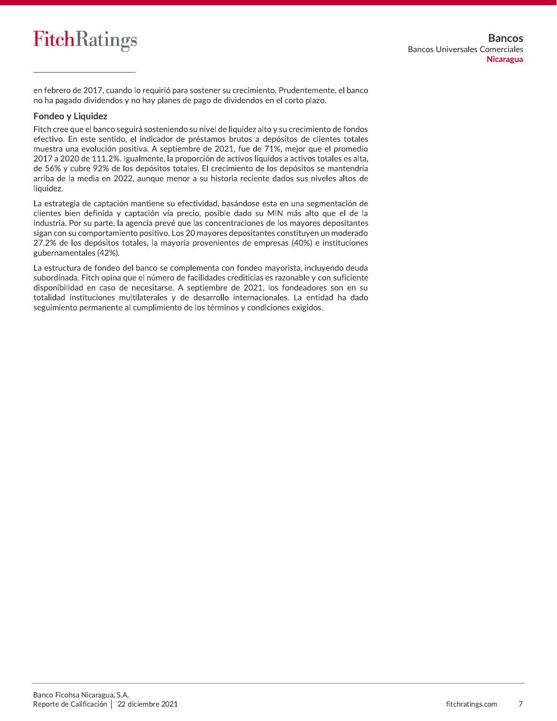

en febrero de 2017, cuando lo requirió para sostener su crecimiento. Prudentemente, el banco no ha pagado dividendos y no hay planes de pago de dividendos en el corto plazo.

#### Fondeo y Liquidez

Fitch cree que el banco seguirá sosteniendo su nivel de liquidez alto y su crecimiento de fondos efectivo. En este sentido, el indicador de préstamos brutos a depósitos de clientes totales muestra una evolución positiva. A septiembre de 2021, fue de 71%, mejor que el promedio 2017 a 2020 de 111.2%. Igualmente, la proporción de activos líquidos a activos totales es alta, de 56% y cubre 92% de los depósitos totales. El crecimiento de los depósitos se mantendría arriba de la media en 2022, aunque menor a su historia reciente dados sus niveles altos de liquidez.

La estrategia de captación mantiene su efectividad, basándose esta en una segmentación de clientes bien definida y captación vía precio, posible dado su MIN más alto que el de la industria. Por su parte, la agencia prevé que las concentraciones de los mayores depositantes sigan con su comportamiento positivo. Los 20 mayores depositantes constituyen un moderado 27.2% de los depósitos totales, la mayoría provenientes de empresas (40%) e instituciones gubernamentales (42%).

La estructura de fondeo del banco se complementa con fondeo mayorista, incluyendo deuda subordinada. Fitch opina que el número de facilidades crediticias es razonable y con suficiente disponibilidad en caso de necesitarse. A septiembre de 2021, los fondeadores son en su totalidad instituciones multilaterales y de desarrollo internacionales. La entidad ha dado seguimiento permanente al cumplimiento de los términos y condiciones exigidos.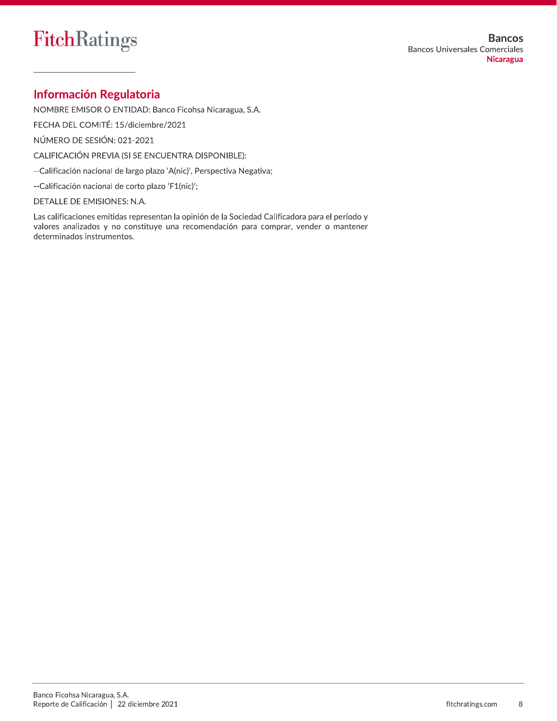## **Información Regulatoria**

NOMBRE EMISOR O ENTIDAD: Banco Ficohsa Nicaragua, S.A.

FECHA DEL COMITÉ: 15/diciembre/2021

NÚMERO DE SESIÓN: 021-2021

CALIFICACIÓN PREVIA (SI SE ENCUENTRA DISPONIBLE):

--Calificación nacional de largo plazo 'A(nic)', Perspectiva Negativa;

--Calificación nacional de corto plazo 'F1(nic)';

DETALLE DE EMISIONES: N.A.

Las calificaciones emitidas representan la opinión de la Sociedad Calificadora para el período y valores analizados y no constituye una recomendación para comprar, vender o mantener determinados instrumentos.